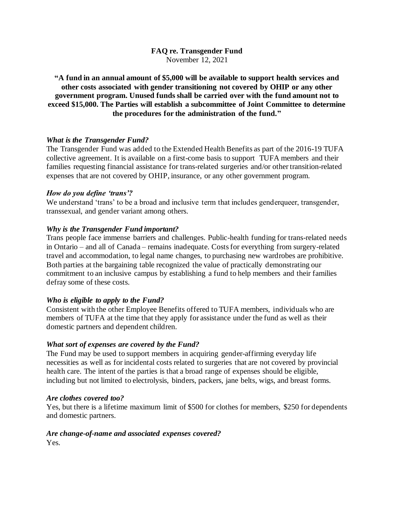**FAQ re. Transgender Fund** November 12, 2021

**"A fund in an annual amount of \$5,000 will be available to support health services and other costs associated with gender transitioning not covered by OHIP or any other government program. Unused funds shall be carried over with the fund amount not to exceed \$15,000. The Parties will establish a subcommittee of Joint Committee to determine the procedures for the administration of the fund."**

## *What is the Transgender Fund?*

The Transgender Fund was added to the Extended Health Benefits as part of the 2016-19 TUFA collective agreement. It is available on a first-come basis to support TUFA members and their families requesting financial assistance for trans-related surgeries and/or other transition-related expenses that are not covered by OHIP, insurance, or any other government program.

## *How do you define 'trans'?*

We understand 'trans' to be a broad and inclusive term that includes genderqueer, transgender, transsexual, and gender variant among others.

## *Why is the Transgender Fund important?*

Trans people face immense barriers and challenges. Public-health funding for trans-related needs in Ontario – and all of Canada – remains inadequate. Costs for everything from surgery-related travel and accommodation, to legal name changes, to purchasing new wardrobes are prohibitive. Both parties at the bargaining table recognized the value of practically demonstrating our commitment to an inclusive campus by establishing a fund to help members and their families defray some of these costs.

## *Who is eligible to apply to the Fund?*

Consistent with the other Employee Benefits offered to TUFA members, individuals who are members of TUFA at the time that they apply for assistance under the fund as well as their domestic partners and dependent children.

## *What sort of expenses are covered by the Fund?*

The Fund may be used to support members in acquiring gender-affirming everyday life necessities as well as for incidental costs related to surgeries that are not covered by provincial health care. The intent of the parties is that a broad range of expenses should be eligible, including but not limited to electrolysis, binders, packers, jane belts, wigs, and breast forms.

## *Are clothes covered too?*

Yes, but there is a lifetime maximum limit of \$500 for clothes for members, \$250 for dependents and domestic partners.

## *Are change-of-name and associated expenses covered?*

Yes.